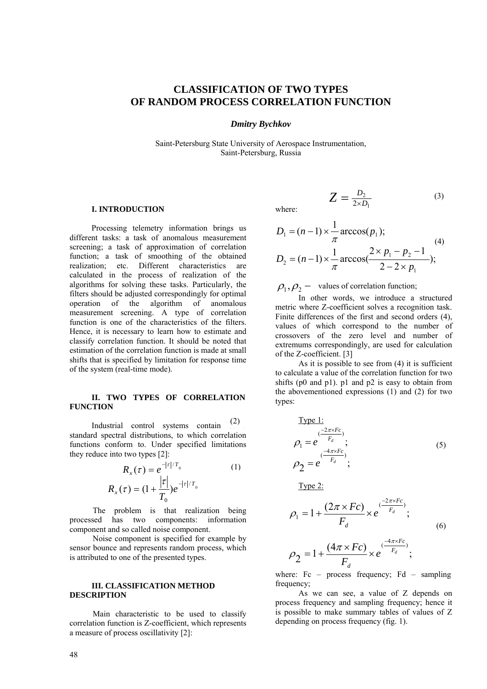# **CLASSIFICATION OF TWO TYPES OF RANDOM PROCESS CORRELATION FUNCTION**

*Dmitry Bychkov* 

Saint-Petersburg State University of Aerospace Instrumentation, Saint-Petersburg, Russia

## **I. INTRODUCTION**

Processing telemetry information brings us different tasks: a task of anomalous measurement screening; a task of approximation of correlation function; a task of smoothing of the obtained realization; etc. Different characteristics are calculated in the process of realization of the algorithms for solving these tasks. Particularly, the filters should be adjusted correspondingly for optimal operation of the algorithm of anomalous measurement screening. A type of correlation function is one of the characteristics of the filters. Hence, it is necessary to learn how to estimate and classify correlation function. It should be noted that estimation of the correlation function is made at small shifts that is specified by limitation for response time of the system (real-time mode).

## **II. TWO TYPES OF CORRELATION FUNCTION**

Industrial control systems contain standard spectral distributions, to which correlation functions conform to. Under specified limitations they reduce into two types [2]: (2)

$$
R_x(\tau) = e^{-|\tau|/T_0}
$$
 (1)  

$$
R_x(\tau) = (1 + \frac{|\tau|}{T_0})e^{-|\tau|/T_0}
$$

The problem is that realization being processed has two components: information component and so called noise component.

Noise component is specified for example by sensor bounce and represents random process, which is attributed to one of the presented types.

# **III. CLASSIFICATION METHOD DESCRIPTION**

Main characteristic to be used to classify correlation function is Z-coefficient, which represents a measure of process oscillativity [2]:

where:

$$
D_1 = (n-1) \times \frac{1}{\pi} \arccos(p_1);
$$
  
\n
$$
D_2 = (n-1) \times \frac{1}{\pi} \arccos(\frac{2 \times p_1 - p_2 - 1}{2 - 2 \times p_1});
$$
 (4)

1 2

 $Z = \frac{D_2}{2 \times D_1}$  (3)

 $\overline{1}$  $\rho_1, \rho_2$  – values of correlation function;

In other words, we introduce a structured metric where Z-coefficient solves a recognition task. Finite differences of the first and second orders (4), values of which correspond to the number of crossovers of the zero level and number of extremums correspondingly, are used for calculation of the Z-coefficient. [3]

As it is possible to see from (4) it is sufficient to calculate a value of the correlation function for two shifts (p0 and p1). p1 and p2 is easy to obtain from the abovementioned expressions (1) and (2) for two types:

$$
\frac{\text{Type 1:}}{\rho_1 = e^{\frac{(-2\pi \times F_c)}{F_d}}};
$$
\n
$$
\rho_2 = e^{\frac{-(4\pi \times F_c)}{F_d}};
$$
\n(5)

Type 2:

$$
\rho_1 = 1 + \frac{(2\pi \times Fc)}{F_d} \times e^{\frac{(-2\pi \times Fc)}{F_d}};
$$
\n(6)

$$
\rho_2 = 1 + \frac{(4\pi \times Fc)}{F_d} \times e^{\frac{(-4\pi \times Fc)}{F_d}};
$$

where: Fc – process frequency; Fd – sampling frequency;

As we can see, a value of Z depends on process frequency and sampling frequency; hence it is possible to make summary tables of values of Z depending on process frequency (fig. 1).